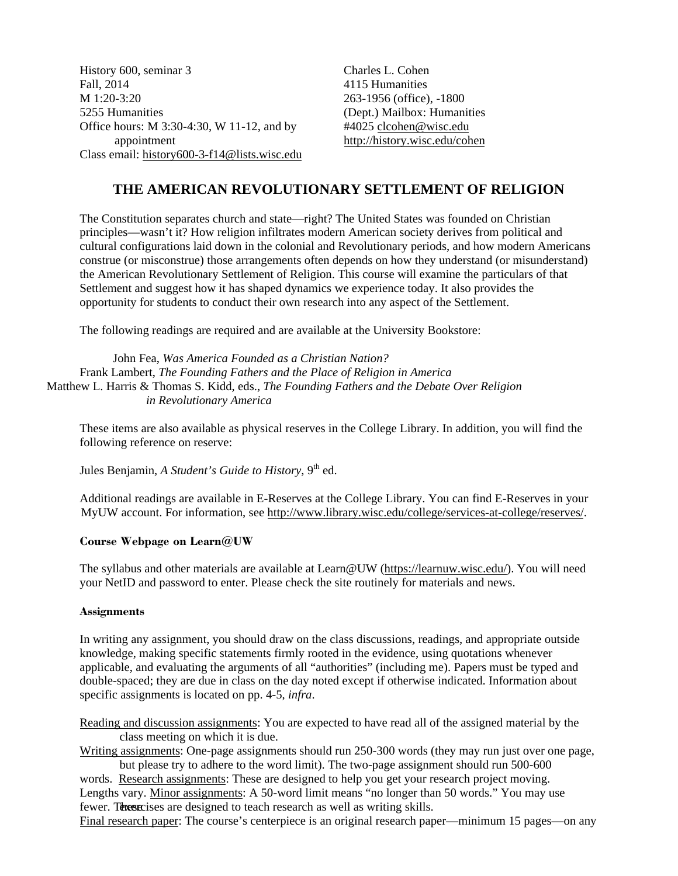History 600, seminar 3 Fall, 2014 M 1:20-3:20 5255 Humanities Office hours: M 3:30-4:30, W 11-12, and by appointment Class email: history600-3-f14@lists.wisc.edu Charles L. Cohen 4115 Humanities 263-1956 (office), -1800 (Dept.) Mailbox: Humanities #4025 clcohen@wisc.edu http://history.wisc.edu/cohen

# **THE AMERICAN REVOLUTIONARY SETTLEMENT OF RELIGION**

The Constitution separates church and state—right? The United States was founded on Christian principles—wasn't it? How religion infiltrates modern American society derives from political and cultural configurations laid down in the colonial and Revolutionary periods, and how modern Americans construe (or misconstrue) those arrangements often depends on how they understand (or misunderstand) the American Revolutionary Settlement of Religion. This course will examine the particulars of that Settlement and suggest how it has shaped dynamics we experience today. It also provides the opportunity for students to conduct their own research into any aspect of the Settlement.

The following readings are required and are available at the University Bookstore:

John Fea, *Was America Founded as a Christian Nation?*  Frank Lambert, *The Founding Fathers and the Place of Religion in America*  Matthew L. Harris & Thomas S. Kidd, eds., *The Founding Fathers and the Debate Over Religion in Revolutionary America* 

These items are also available as physical reserves in the College Library. In addition, you will find the following reference on reserve:

Jules Benjamin, *A Student's Guide to History*, 9<sup>th</sup> ed.

Additional readings are available in E-Reserves at the College Library. You can find E-Reserves in your MyUW account. For information, see http://www.library.wisc.edu/college/services-at-college/reserves/.

#### **Course Webpage on Learn@UW**

The syllabus and other materials are available at Learn@UW (https://learnuw.wisc.edu/). You will need your NetID and password to enter. Please check the site routinely for materials and news.

#### **Assignments**

In writing any assignment, you should draw on the class discussions, readings, and appropriate outside knowledge, making specific statements firmly rooted in the evidence, using quotations whenever applicable, and evaluating the arguments of all "authorities" (including me). Papers must be typed and double-spaced; they are due in class on the day noted except if otherwise indicated. Information about specific assignments is located on pp. 4-5, *infra*.

Reading and discussion assignments: You are expected to have read all of the assigned material by the class meeting on which it is due.

Writing assignments: One-page assignments should run 250-300 words (they may run just over one page, but please try to adhere to the word limit). The two-page assignment should run 500-600

words. Research assignments: These are designed to help you get your research project moving. Lengths vary. Minor assignments: A 50-word limit means "no longer than 50 words." You may use fewer. These exercises are designed to teach research as well as writing skills.

Final research paper: The course's centerpiece is an original research paper—minimum 15 pages—on any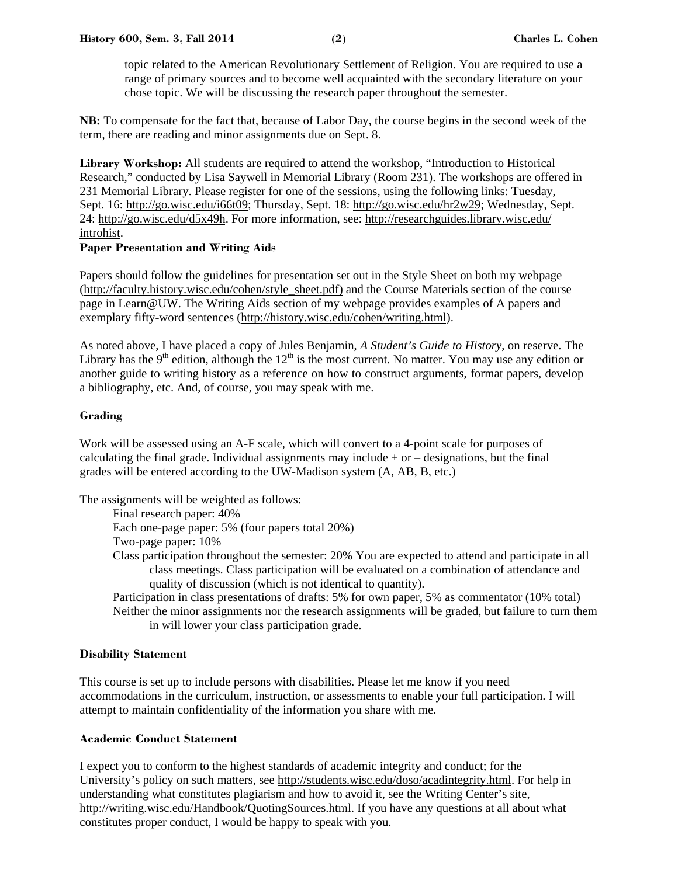topic related to the American Revolutionary Settlement of Religion. You are required to use a range of primary sources and to become well acquainted with the secondary literature on your chose topic. We will be discussing the research paper throughout the semester.

**NB:** To compensate for the fact that, because of Labor Day, the course begins in the second week of the term, there are reading and minor assignments due on Sept. 8.

**Library Workshop:** All students are required to attend the workshop, "Introduction to Historical Research," conducted by Lisa Saywell in Memorial Library (Room 231). The workshops are offered in 231 Memorial Library. Please register for one of the sessions, using the following links: Tuesday, Sept. 16: http://go.wisc.edu/i66t09; Thursday, Sept. 18: http://go.wisc.edu/hr2w29; Wednesday, Sept. 24: http://go.wisc.edu/d5x49h. For more information, see: http://researchguides.library.wisc.edu/ introhist.

#### **Paper Presentation and Writing Aids**

Papers should follow the guidelines for presentation set out in the Style Sheet on both my webpage (http://faculty.history.wisc.edu/cohen/style\_sheet.pdf) and the Course Materials section of the course page in Learn@UW. The Writing Aids section of my webpage provides examples of A papers and exemplary fifty-word sentences (http://history.wisc.edu/cohen/writing.html).

As noted above, I have placed a copy of Jules Benjamin, *A Student's Guide to History*, on reserve. The Library has the 9<sup>th</sup> edition, although the  $12<sup>th</sup>$  is the most current. No matter. You may use any edition or another guide to writing history as a reference on how to construct arguments, format papers, develop a bibliography, etc. And, of course, you may speak with me.

#### **Grading**

Work will be assessed using an A-F scale, which will convert to a 4-point scale for purposes of calculating the final grade. Individual assignments may include  $+$  or  $-$  designations, but the final grades will be entered according to the UW-Madison system (A, AB, B, etc.)

The assignments will be weighted as follows:

Final research paper: 40% Each one-page paper: 5% (four papers total 20%) Two-page paper: 10% Class participation throughout the semester: 20% You are expected to attend and participate in all class meetings. Class participation will be evaluated on a combination of attendance and quality of discussion (which is not identical to quantity). Participation in class presentations of drafts: 5% for own paper, 5% as commentator (10% total)

Neither the minor assignments nor the research assignments will be graded, but failure to turn them in will lower your class participation grade.

# **Disability Statement**

This course is set up to include persons with disabilities. Please let me know if you need accommodations in the curriculum, instruction, or assessments to enable your full participation. I will attempt to maintain confidentiality of the information you share with me.

#### **Academic Conduct Statement**

I expect you to conform to the highest standards of academic integrity and conduct; for the University's policy on such matters, see http://students.wisc.edu/doso/acadintegrity.html. For help in understanding what constitutes plagiarism and how to avoid it, see the Writing Center's site, http://writing.wisc.edu/Handbook/QuotingSources.html. If you have any questions at all about what constitutes proper conduct, I would be happy to speak with you.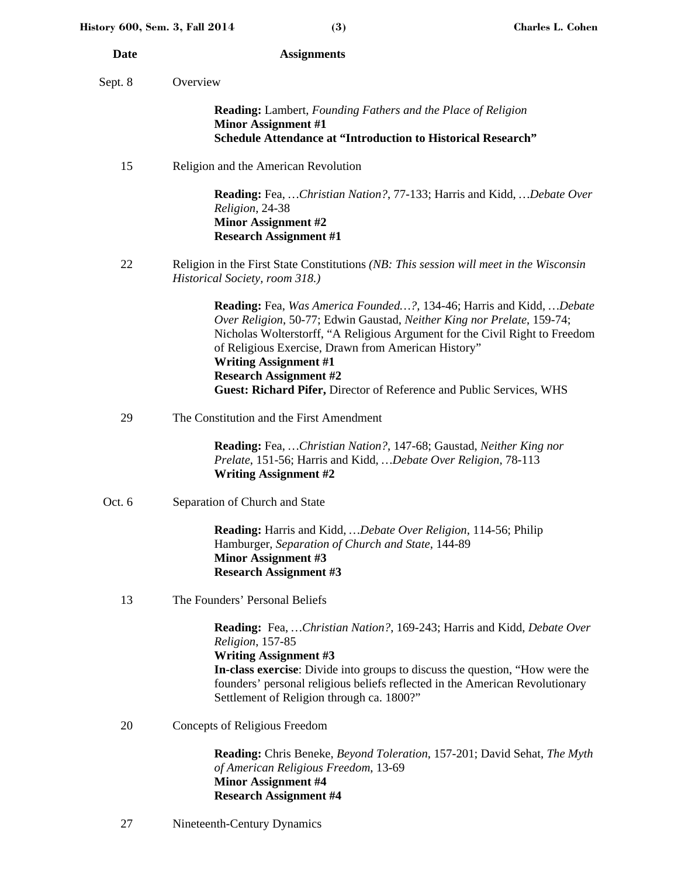| <b>Date</b> | <b>Assignments</b>                                                                                                                                                                                                                                                                                                                                                                                                                  |
|-------------|-------------------------------------------------------------------------------------------------------------------------------------------------------------------------------------------------------------------------------------------------------------------------------------------------------------------------------------------------------------------------------------------------------------------------------------|
| Sept. 8     | Overview                                                                                                                                                                                                                                                                                                                                                                                                                            |
|             | <b>Reading:</b> Lambert, Founding Fathers and the Place of Religion<br><b>Minor Assignment #1</b><br><b>Schedule Attendance at "Introduction to Historical Research"</b>                                                                                                                                                                                                                                                            |
| 15          | Religion and the American Revolution                                                                                                                                                                                                                                                                                                                                                                                                |
|             | <b>Reading:</b> Fea,  Christian Nation?, 77-133; Harris and Kidd,  Debate Over<br>Religion, 24-38<br><b>Minor Assignment #2</b><br><b>Research Assignment #1</b>                                                                                                                                                                                                                                                                    |
| 22          | Religion in the First State Constitutions (NB: This session will meet in the Wisconsin<br>Historical Society, room 318.)                                                                                                                                                                                                                                                                                                            |
|             | <b>Reading:</b> Fea, Was America Founded?, 134-46; Harris and Kidd, Debate<br>Over Religion, 50-77; Edwin Gaustad, Neither King nor Prelate, 159-74;<br>Nicholas Wolterstorff, "A Religious Argument for the Civil Right to Freedom<br>of Religious Exercise, Drawn from American History"<br><b>Writing Assignment #1</b><br><b>Research Assignment #2</b><br>Guest: Richard Pifer, Director of Reference and Public Services, WHS |
| 29          | The Constitution and the First Amendment                                                                                                                                                                                                                                                                                                                                                                                            |
|             | <b>Reading:</b> Fea,  Christian Nation?, 147-68; Gaustad, Neither King nor<br>Prelate, 151-56; Harris and Kidd,  Debate Over Religion, 78-113<br><b>Writing Assignment #2</b>                                                                                                                                                                                                                                                       |
| Oct. 6      | Separation of Church and State                                                                                                                                                                                                                                                                                                                                                                                                      |
|             | Reading: Harris and Kidd,  Debate Over Religion, 114-56; Philip<br>Hamburger, Separation of Church and State, 144-89<br><b>Minor Assignment #3</b><br><b>Research Assignment #3</b>                                                                                                                                                                                                                                                 |
| 13          | The Founders' Personal Beliefs                                                                                                                                                                                                                                                                                                                                                                                                      |
|             | Reading: Fea,  Christian Nation?, 169-243; Harris and Kidd, Debate Over<br>Religion, 157-85<br><b>Writing Assignment #3</b><br>In-class exercise: Divide into groups to discuss the question, "How were the<br>founders' personal religious beliefs reflected in the American Revolutionary<br>Settlement of Religion through ca. 1800?"                                                                                            |
| 20          | Concepts of Religious Freedom                                                                                                                                                                                                                                                                                                                                                                                                       |
|             | Reading: Chris Beneke, Beyond Toleration, 157-201; David Sehat, The Myth                                                                                                                                                                                                                                                                                                                                                            |

**Reading:** Chris Beneke, *Beyond Toleration*, 157-201; David Sehat, *The Myth of American Religious Freedom*, 13-69 **Minor Assignment #4 Research Assignment #4** 

27 Nineteenth-Century Dynamics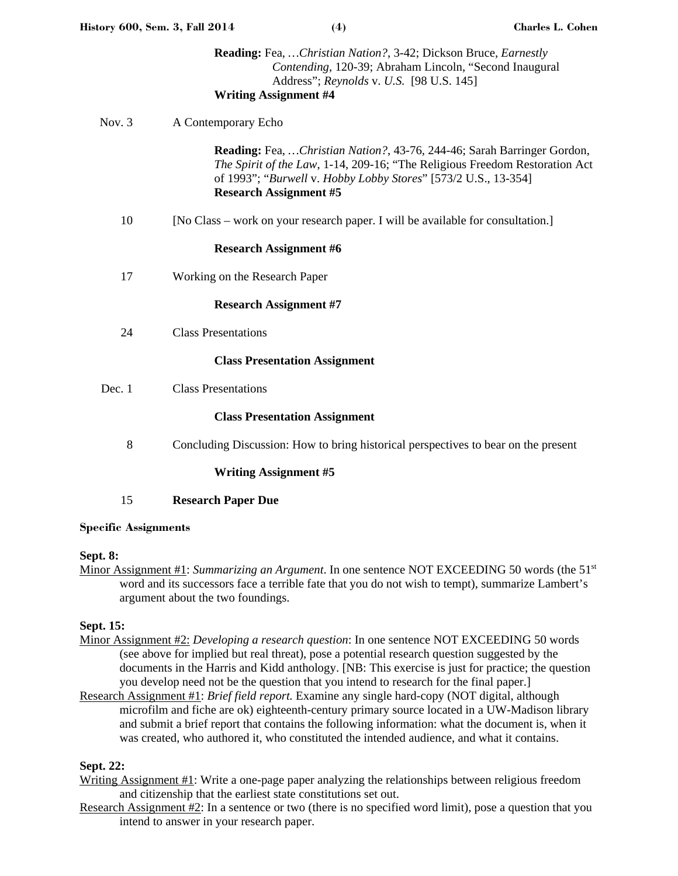|          | Contending, 120-39; Abraham Lincoln, "Second Inaugural<br>Address"; Reynolds v. U.S. [98 U.S. 145]<br><b>Writing Assignment #4</b>                                                                                                                                |
|----------|-------------------------------------------------------------------------------------------------------------------------------------------------------------------------------------------------------------------------------------------------------------------|
| Nov. $3$ | A Contemporary Echo                                                                                                                                                                                                                                               |
|          | <b>Reading:</b> Fea,  Christian Nation?, 43-76, 244-46; Sarah Barringer Gordon,<br>The Spirit of the Law, 1-14, 209-16; "The Religious Freedom Restoration Act<br>of 1993"; "Burwell v. Hobby Lobby Stores" [573/2 U.S., 13-354]<br><b>Research Assignment #5</b> |
| 10       | [No Class – work on your research paper. I will be available for consultation.]                                                                                                                                                                                   |
|          | <b>Research Assignment #6</b>                                                                                                                                                                                                                                     |
| 17       | Working on the Research Paper                                                                                                                                                                                                                                     |
|          | <b>Research Assignment #7</b>                                                                                                                                                                                                                                     |
| 24       | <b>Class Presentations</b>                                                                                                                                                                                                                                        |
|          | <b>Class Presentation Assignment</b>                                                                                                                                                                                                                              |
| Dec. 1   | <b>Class Presentations</b>                                                                                                                                                                                                                                        |
|          | <b>Class Presentation Assignment</b>                                                                                                                                                                                                                              |
| 8        | Concluding Discussion: How to bring historical perspectives to bear on the present                                                                                                                                                                                |

# **Writing Assignment #5**

15 **Research Paper Due**

#### **Specific Assignments**

# **Sept. 8:**

Minor Assignment #1: *Summarizing an Argument*. In one sentence NOT EXCEEDING 50 words (the 51st word and its successors face a terrible fate that you do not wish to tempt), summarize Lambert's argument about the two foundings.

# **Sept. 15:**

- Minor Assignment #2: *Developing a research question*: In one sentence NOT EXCEEDING 50 words (see above for implied but real threat), pose a potential research question suggested by the documents in the Harris and Kidd anthology. [NB: This exercise is just for practice; the question you develop need not be the question that you intend to research for the final paper.]
- Research Assignment #1: *Brief field report.* Examine any single hard-copy (NOT digital, although microfilm and fiche are ok) eighteenth-century primary source located in a UW-Madison library and submit a brief report that contains the following information: what the document is, when it was created, who authored it, who constituted the intended audience, and what it contains.

# **Sept. 22:**

- Writing Assignment #1: Write a one-page paper analyzing the relationships between religious freedom and citizenship that the earliest state constitutions set out.
- Research Assignment #2: In a sentence or two (there is no specified word limit), pose a question that you intend to answer in your research paper.

**Reading:** Fea, *…Christian Nation?*, 3-42; Dickson Bruce, *Earnestly*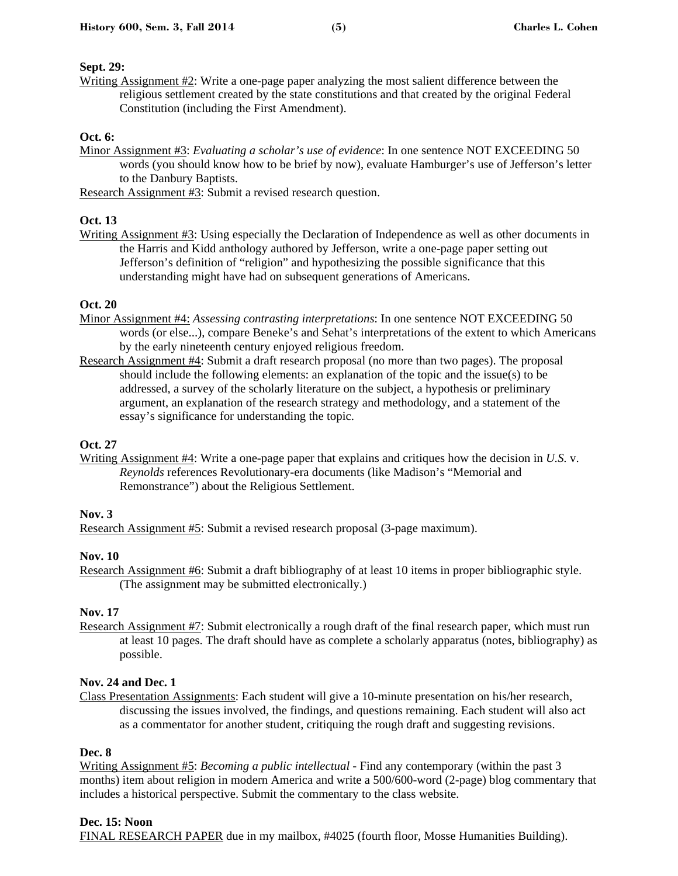#### **Sept. 29:**

Writing Assignment #2: Write a one-page paper analyzing the most salient difference between the religious settlement created by the state constitutions and that created by the original Federal Constitution (including the First Amendment).

#### **Oct. 6:**

Minor Assignment #3: *Evaluating a scholar's use of evidence*: In one sentence NOT EXCEEDING 50 words (you should know how to be brief by now), evaluate Hamburger's use of Jefferson's letter to the Danbury Baptists.

Research Assignment #3: Submit a revised research question.

# **Oct. 13**

Writing Assignment #3: Using especially the Declaration of Independence as well as other documents in the Harris and Kidd anthology authored by Jefferson, write a one-page paper setting out Jefferson's definition of "religion" and hypothesizing the possible significance that this understanding might have had on subsequent generations of Americans.

# **Oct. 20**

- Minor Assignment #4: *Assessing contrasting interpretations*: In one sentence NOT EXCEEDING 50 words (or else...), compare Beneke's and Sehat's interpretations of the extent to which Americans by the early nineteenth century enjoyed religious freedom.
- Research Assignment #4: Submit a draft research proposal (no more than two pages). The proposal should include the following elements: an explanation of the topic and the issue(s) to be addressed, a survey of the scholarly literature on the subject, a hypothesis or preliminary argument, an explanation of the research strategy and methodology, and a statement of the essay's significance for understanding the topic.

# **Oct. 27**

Writing Assignment #4: Write a one-page paper that explains and critiques how the decision in *U.S.* v. *Reynolds* references Revolutionary-era documents (like Madison's "Memorial and Remonstrance") about the Religious Settlement.

#### **Nov. 3**

Research Assignment #5: Submit a revised research proposal (3-page maximum).

# **Nov. 10**

Research Assignment #6: Submit a draft bibliography of at least 10 items in proper bibliographic style. (The assignment may be submitted electronically.)

# **Nov. 17**

Research Assignment #7: Submit electronically a rough draft of the final research paper, which must run at least 10 pages. The draft should have as complete a scholarly apparatus (notes, bibliography) as possible.

#### **Nov. 24 and Dec. 1**

Class Presentation Assignments: Each student will give a 10-minute presentation on his/her research, discussing the issues involved, the findings, and questions remaining. Each student will also act as a commentator for another student, critiquing the rough draft and suggesting revisions.

#### **Dec. 8**

Writing Assignment #5: *Becoming a public intellectual* - Find any contemporary (within the past 3 months) item about religion in modern America and write a 500/600-word (2-page) blog commentary that includes a historical perspective. Submit the commentary to the class website.

# **Dec. 15: Noon**

FINAL RESEARCH PAPER due in my mailbox, #4025 (fourth floor, Mosse Humanities Building).